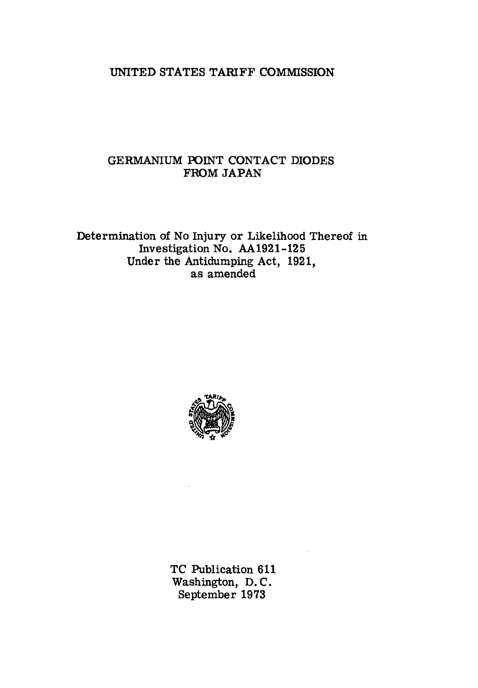## UNITED STATES TARIFF COMMISSION

## GERMANIUM POINT CONTACT DIODES FROM JAPAN

Determination of No Injury or Likelihood Thereof in Investigation No. AA1921-125 Under the Antidumping Act, 1921, as amended



TC Publication 611 Washington, D. C. September 1973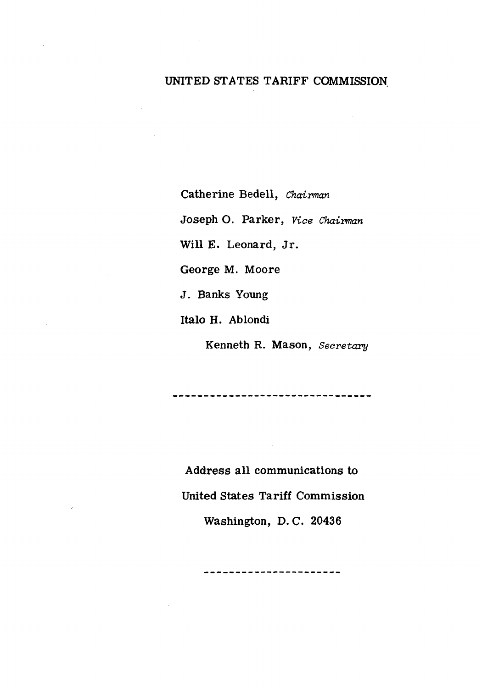# UNITED STATES TARIFF COMMISSION

Catherine Bedell, *Chairman*  Joseph 0. Parker, *Viae Chairman*  Will E. Leonard, Jr. George M. Moore J. Banks Young Italo H. Ablondi

Kenneth R. Mason, *Secretary* 

Address all communications to United States Tariff Commission Washington, D. C. 20436

----------------------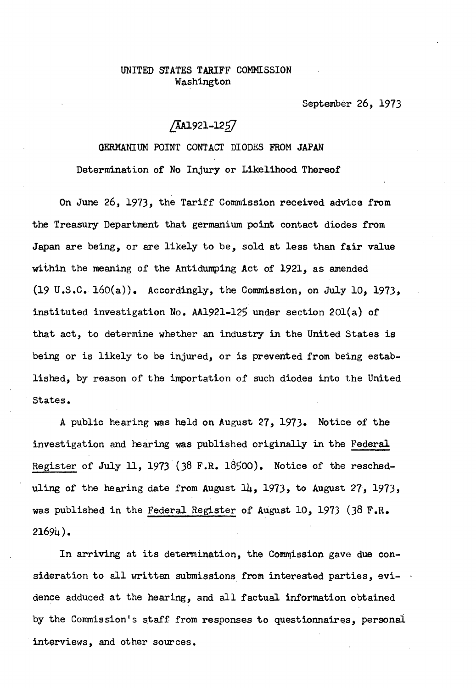#### UNITED STATES TARIFF COMMISSION Washington

September 26, 1973

### /AA1921-1257

GERMANIUM POINT CONTACT DIODES FROM JAPAN Determination of No Injury or Likelihood Thereof

On June *26,* 1973, the Tariff Commission received advice from the Treasury Department that germanium point contact diodes from Japan are being, or are likely to be, sold at less than fair value within the meaning of the Antidumping Act of 1921, as amended  $(19 \text{ U.S.C. } 160(a))$ . Accordingly, the Commission, on July 10, 1973, instituted investigation No. AA1921-125 under section 20l(a) of that act, to determine whether an industry in the United States is being or is likely to be injured, or is prevented from being established, by reason of the importation of such diodes into the United · States.

A public hearing was held on August 27, 1973. Notice of the investigation and hearing was published originally in the Federal Register of July 11, 1973 (38 F.R. 18500). Notice of the rescheduling of the hearing date from August  $14$ , 1973, to August 27, 1973, was published in the Federal Register of August 10, 1973 (38 F.R.  $21694$ .

In arriving at its determination, the Commission gave due consideration to all written submissions from interested parties, evidence adduced at the hearing, and all factual information obtained by the Commission's staff from responses to questionnaires, personal interviews, and other sources.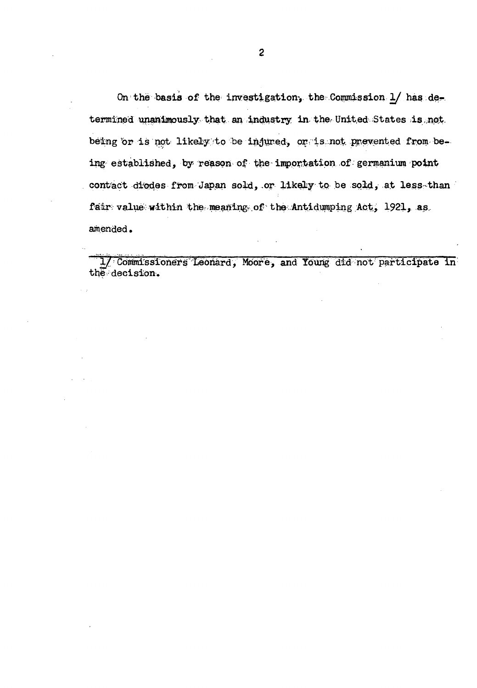On the basis of the investigation, the Commission 1/ has determined unanimously that an industry in the United States is not being or is not likely to be injured, or is not prevented from being established, by reason of the importation of germanium point contact diodes from Japan sold, or likely to be sold, at less than fair value within the meaning of the Antidumping Act, 1921, as amended.

1/ Commissioners Leonard, Moore, and Young did not participate in the decision.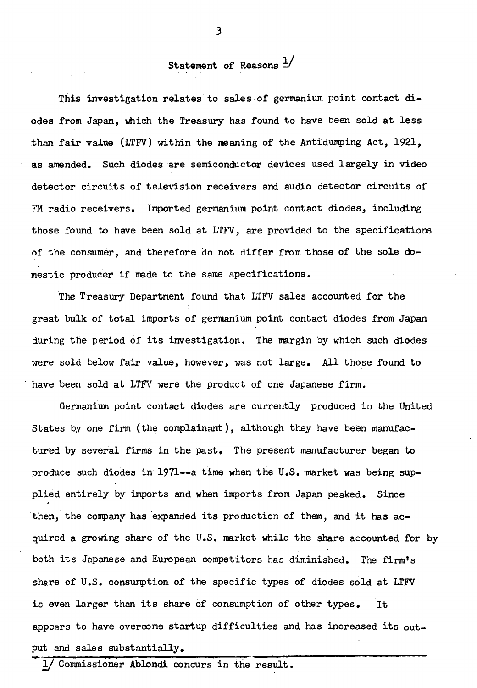# Statement of Reasons  $\frac{1}{2}$

This investigation relates to sales of germanium point contact diodes from Japan, which the Treasury has found to have been sold at less than fair value (LTFV) within the meaning of the Antidumping Act, 1921, as amended. Such diodes are semiconductor devices used largely in video detector circuits of television receivers and audio detector circuits of FM radio receivers. Imported germanium point contact diodes, including those found to have been sold at LTFV, are provided to the specifications of the consumer, and therefore do not differ from those of the sole domestic producer if nade to the same specifications.

The Treasury Department found that LTFV sales accounted for the great bulk of total imports of germanium point contact diodes from Japan during the period of its investigation. The margin by which such diodes were sold below fair value, however, was not large. All those found to have been sold at LTFV were the product of one Japanese firm.

Germanium point contact diodes are currently produced in the United States by one firm (the complainant), although they have been manufactured by several firms in the past. The present manufacturer began to produce such diodes in 1971--a time when the  $U.S.$  market was being supplied entirely by imports and when imports from Japan peaked. Since then, the company has expanded its production of them, and it has acquired a growing share of the U.S. market while the share accounted for by both its Japanese and European competitors has diminished. The firm's share of U.S. consumption of the specific types of diodes sold at LTFV is even larger than its share of consumption of other types. It appears to have overcome startup difficulties and has increased its output and sales substantially.

Commissioner Ablondi concurs in the result.

3